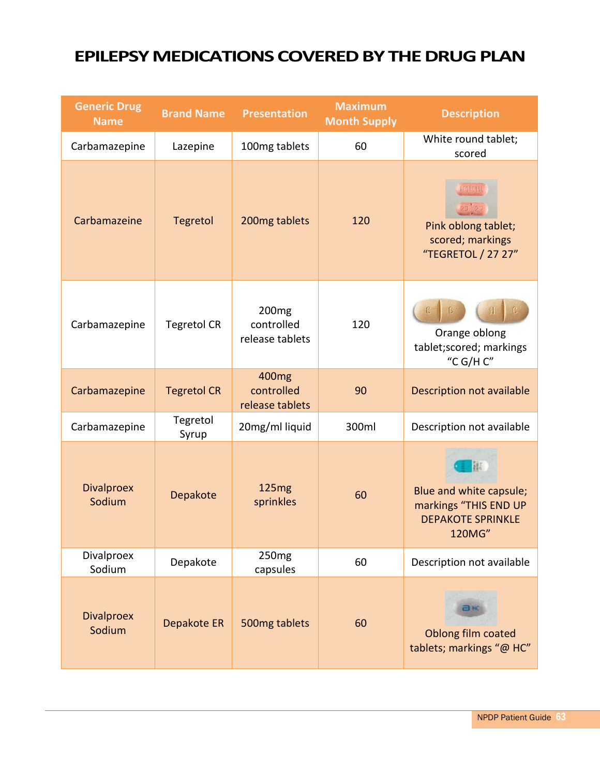## **EPILEPSY MEDICATIONS COVERED BY THE DRUG PLAN**

| <b>Generic Drug</b><br><b>Name</b> | <b>Brand Name</b>  | <b>Presentation</b>                                | <b>Maximum</b><br><b>Month Supply</b> | <b>Description</b>                                                                          |
|------------------------------------|--------------------|----------------------------------------------------|---------------------------------------|---------------------------------------------------------------------------------------------|
| Carbamazepine                      | Lazepine           | 100mg tablets                                      | 60                                    | White round tablet;<br>scored                                                               |
| Carbamazeine                       | <b>Tegretol</b>    | 200mg tablets                                      | 120                                   | TEGRETOL<br>Pink oblong tablet;<br>scored; markings<br>"TEGRETOL / 27 27"                   |
| Carbamazepine                      | <b>Tegretol CR</b> | 200 <sub>mg</sub><br>controlled<br>release tablets | 120                                   | Orange oblong<br>tablet;scored; markings<br>"C G/H C"                                       |
| Carbamazepine                      | <b>Tegretol CR</b> | 400 <sub>mg</sub><br>controlled<br>release tablets | 90                                    | Description not available                                                                   |
| Carbamazepine                      | Tegretol<br>Syrup  | 20mg/ml liquid                                     | 300ml                                 | Description not available                                                                   |
| <b>Divalproex</b><br>Sodium        | Depakote           | 125 <sub>mg</sub><br>sprinkles                     | 60                                    | 榧<br>Blue and white capsule;<br>markings "THIS END UP<br><b>DEPAKOTE SPRINKLE</b><br>120MG" |
| Divalproex<br>Sodium               | Depakote           | 250 <sub>mg</sub><br>capsules                      | 60                                    | Description not available                                                                   |
| <b>Divalproex</b><br>Sodium        | Depakote ER        | 500mg tablets                                      | 60                                    | 己臣<br>Oblong film coated<br>tablets; markings "@ HC"                                        |